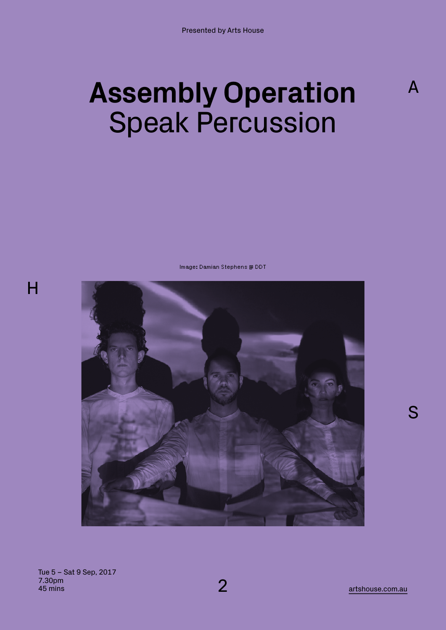# **Assembly Operation**  Speak Percussion

Image: Damian Stephens @ DDT



H

artshouse.com.au

A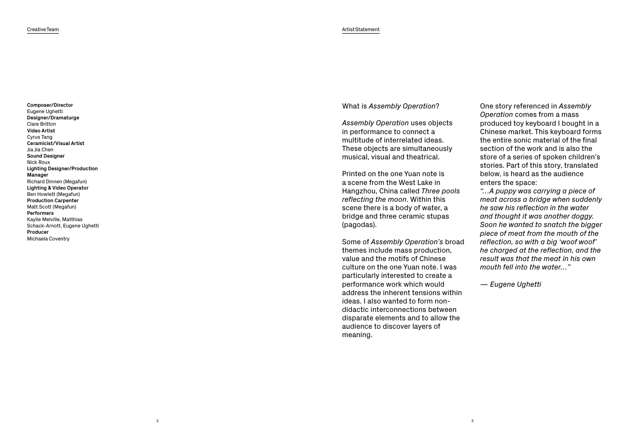# What is *Assembly Operation* ?

*Assembly Operation* uses objects in performance to connect a multitude of interrelated ideas. These objects are simultaneously musical, visual and theatrical.

Printed on the one Yuan note is a scene from the West Lake in Hangzhou, China called *Three pools reflecting the moon*. Within this scene there is a body of water, a bridge and three ceramic stupas (pagodas).

Some of *Assembly Operation's* broad themes include mass production, value and the motifs of Chinese culture on the one Yuan note. I was particularly interested to create a performance work which would address the inherent tensions within ideas. I also wanted to form nondidactic interconnections between disparate elements and to allow the audience to discover layers of meaning.

One story referenced in *Assembly Operation* comes from a mass produced toy keyboard I bought in a Chinese market. This keyboard forms the entire sonic material of the final section of the work and is also the store of a series of spoken children's stories. Part of this story, translated below, is heard as the audience enters the space:

*"…A puppy was carrying a piece of meat across a bridge when suddenly he saw his reflection in the water and thought it was another doggy. Soon he wanted to snatch the bigger piece of meat from the mouth of the reflection, so with a big 'woof woof' he charged at the reflection, and the result was that the meat in his own mouth fell into the water…"*

*— Eugene Ughetti*

3

**Composer/Director** Eugene Ughetti **Designer/Dramaturge** Clare Britton **Video Artist** Cyrus Tang **Ceramicist/Visual Artist** Jia Jia Chen **Sound Designer** Nick Roux **Lighting Designer/Production Manager** Richard Dinnen (Megafun) **Lighting & Video Operator** Ben Howlett (Megafun) **Production Carpenter** Matt Scott (Megafun) **Performers** Kaylie Melville, Matthias Schack-Arnott, Eugene Ughetti **Producer** Michaela Coventry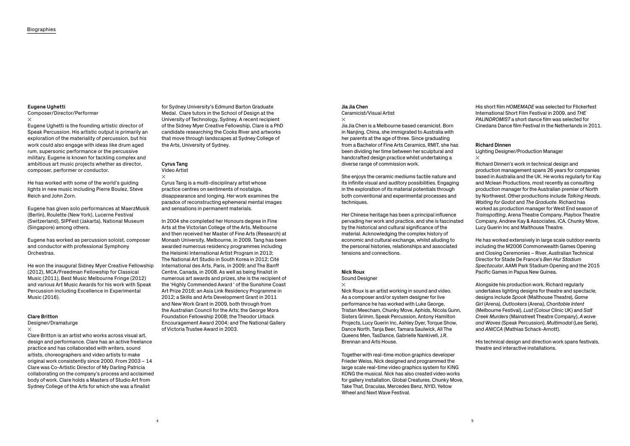#### **Eugene Ughetti**

Composer/Director/Performer

#### $\times$

Eugene Ughetti is the founding artistic director of Speak Percussion. His artistic output is primarily an exploration of the materiality of percussion, but his work could also engage with ideas like drum aged rum, supersonic performance or the percussive military. Eugene is known for tackling complex and ambitious art music projects whether as director, composer, performer or conductor.

He has worked with some of the world's guiding lights in new music including Pierre Boulez, Steve Reich and John Zorn.

Eugene has given solo performances at MaerzMusik (Berlin), Roulette (New York), Lucerne Festival (Switzerland), SIPFest (Jakarta), National Museum (Singapore) among others.

Eugene has worked as percussion soloist, composer and conductor with professional Symphony Orchestras.

He won the inaugural Sidney Myer Creative Fellowship (2012), MCA/Freedman Fellowship for Classical Music (2011), Best Music Melbourne Fringe (2012) and various Art Music Awards for his work with Speak Percussion including Excellence in Experimental Music (2016).

## **Clare Britton**

Designer/Dramaturge

## $\times$

Clare Britton is an artist who works across visual art, design and performance. Clare has an active freelance practice and has collaborated with writers, sound artists, choreographers and video artists to make original work consistently since 2000. From 2003 – 14 Clare was Co-Artistic Director of My Darling Patricia collaborating on the company's process and acclaimed body of work. Clare holds a Masters of Studio Art from Sydney College of the Arts for which she was a finalist

She enjoys the ceramic mediums tactile nature and its infinite visual and auditory possibilities. Engaging in the exploration of its material potentials through both conventional and experimental processes and techniques.

for Sydney University's Edmund Barton Graduate Medal. Clare tutors in the School of Design at the University of Technology, Sydney. A recent recipient of the Sidney Myer Creative Fellowship, Clare is a PhD candidate researching the Cooks River and artworks that move through landscapes at Sydney College of the Arts, University of Sydney.

### **Cyrus Tang** Video Artist

#### $\times$

Cyrus Tang is a multi-disciplinary artist whose practice centres on sentiments of nostalgia, disappearance and longing. Her work examines the paradox of reconstructing ephemeral mental images and sensations in permanent materials.

Lighting Designer/Production Manager  $\times$ 

In 2004 she completed her Honours degree in Fine Arts at the Victorian College of the Arts, Melbourne and then received her Master of Fine Arts (Research) at Monash University, Melbourne, in 2009. Tang has been awarded numerous residency programmes including the Helsinki International Artist Program in 2013; The National Art Studio in South Korea in 2012; Cité International des Arts, Paris, in 2009; and The Banff Centre, Canada, in 2008. As well as being finalist in numerous art awards and prizes, she is the recipient of the 'Highly Commended Award ' of the Sunshine Coast Art Prize 2016; an Asia Link Residency Programme in 2012; a Skills and Arts Development Grant in 2011 and New Work Grant in 2009, both through from the Australian Council for the Arts; the George Mora Foundation Fellowship 2008; the Theodor Urback Encouragement Award 2004; and The National Gallery of Victoria Trustee Award in 2003.

## **Jia Jia Chen**

Ceramicist/Visual Artist

×.

Jia Jia Chen is a Melbourne based ceramicist. Born in Nanjing, China, she immigrated to Australia with her parents at the age of three. Since graduating from a Bachelor of Fine Arts Ceramics, RMIT, she has been dividing her time between her sculptural and handcrafted design practice whilst undertaking a diverse range of commission work.

Her Chinese heritage has been a principal influence pervading her work and practice, and she is fascinated by the historical and cultural significance of the material. Acknowledging the complex history of economic and cultural exchange, whilst alluding to the personal histories, relationships and associated tensions and connections.

## **Nick Roux**

Sound Designer

Nick Roux is an artist working in sound and video. As a composer and/or system designer for live performance he has worked with Luke George, Tristan Meecham, Chunky Move, Aphids, Nicola Gunn, Sisters Grimm, Speak Percussion, Antony Hamilton Projects, Lucy Guerin Inc, Ashley Dyer, Torque Show, Dance North, Tanja Beer, Tamara Saulwick, All The Queens Men, TasDance, Gabrielle Nankivell, J.R. Brennan and Arts House.

Together with real-time motion graphics developer Frieder Weiss, Nick designed and programmed the large scale real-time video graphics system for KING KONG the musical. Nick has also created video works for gallery installation, Global Creatures, Chunky Move, Take That, Draculas, Mercedes Benz, NYID, Yellow Wheel and Next Wave Festival.

His short film *HOMEMADE* was selected for Flickerfest International Short Film Festival in 2009, and *THE PALINDROMIST* a short dance film was selected for Cinedans Dance film Festival in the Netherlands in 2011.

## **Richard Dinnen**

Richard Dinnen's work in technical design and production management spans 26 years for companies based in Australia and the UK. He works regularly for Kay and Mclean Productions, most recently as consulting production manager for the Australian premier of North by Northwest. Other productions include *Talking Heads*, *Waiting for Godot* and *The Graduate*. Richard has worked as production manager for West End season of *Trainspotting*, Arena Theatre Company, Playbox Theatre Company, Andrew Kay & Associates, ICA, Chunky Move, Lucy Guerin Inc and Malthouse Theatre.

He has worked extensively in large scale outdoor events including the M2006 Commonwealth Games Opening and Closing Ceremonies – River, Australian Technical Director for Stade De France's *Ben Hur Stadium Spectacular*, AAMI Park Stadium Opening and the 2015 Pacific Games in Papua New Guinea.

Alongside his production work, Richard regularly undertakes lighting designs for theatre and spectacle, designs include *Spook* (Malthouse Theatre), *Game Girl* (Arena), *Outlookers* (Arena), *Charitable Intent*  (Melbourne Festival), *Lust* (Colour Clinic UK) and *Salt Creek Murders* (Mainstreet Theatre Company), *A wave and Waves* (Speak Percussion), *Multimodal* (Lee Serle), and *ANICCA* (Mathias Schack-Arnott).

His technical design and direction work spans festivals, theatre and interactive installations.

 $\times$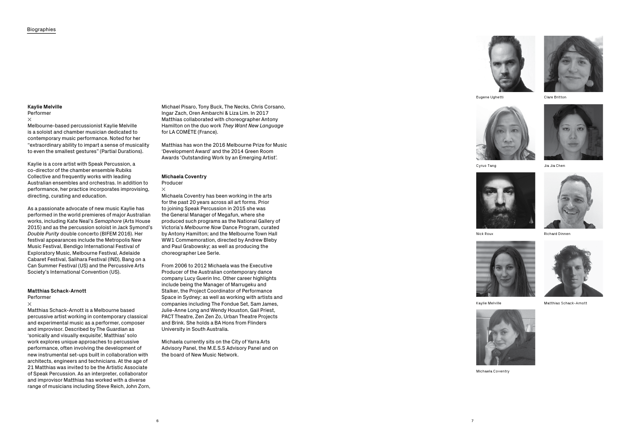### **Kaylie Melville**

#### Performer

#### $\times$

Melbourne-based percussionist Kaylie Melville is a soloist and chamber musician dedicated to contemporary music performance. Noted for her "extraordinary ability to impart a sense of musicality to even the smallest gestures" (Partial Durations).

Kaylie is a core artist with Speak Percussion, a co-director of the chamber ensemble Rubiks Collective and frequently works with leading Australian ensembles and orchestras. In addition to performance, her practice incorporates improvising, directing, curating and education.

As a passionate advocate of new music Kaylie has performed in the world premieres of major Australian works, including Kate Neal's *Semaphore* (Arts House 2015) and as the percussion soloist in Jack Symond's *Double Purity* double concerto (BIFEM 2016). Her festival appearances include the Metropolis New Music Festival, Bendigo International Festival of Exploratory Music, Melbourne Festival, Adelaide Cabaret Festival, Salihara Festival (IND), Bang on a Can Summer Festival (US) and the Percussive Arts Society's International Convention (US).

#### Producer  $\times$

#### **Matthias Schack-Arnott** Performer

#### $\times$

Matthias Schack-Arnott is a Melbourne based percussive artist working in contemporary classical and experimental music as a performer, composer and improvisor. Described by The Guardian as 'sonically and visually exquisite', Matthias' solo work explores unique approaches to percussive performance, often involving the development of new instrumental set-ups built in collaboration with architects, engineers and technicians. At the age of 21 Matthias was invited to be the Artistic Associate of Speak Percussion. As an interpreter, collaborator and improvisor Matthias has worked with a diverse range of musicians including Steve Reich, John Zorn,

Michael Pisaro, Tony Buck, The Necks, Chris Corsano, Ingar Zach, Oren Ambarchi & Liza Lim. In 2017 Matthias collaborated with choreographer Antony Hamilton on the duo work *They Want New Language* for LA COMÈTE (France).

Matthias has won the 2016 Melbourne Prize for Music 'Development Award' and the 2014 Green Room Awards 'Outstanding Work by an Emerging Artist'.

# **Michaela Coventry**

Michaela Coventry has been working in the arts for the past 20 years across all art forms. Prior to joining Speak Percussion in 2015 she was the General Manager of Megafun, where she produced such programs as the National Gallery of Victoria's *Melbourne Now* Dance Program, curated by Antony Hamilton; and the Melbourne Town Hall WW1 Commemoration, directed by Andrew Bleby and Paul Grabowsky; as well as producing the choreographer Lee Serle.

From 2006 to 2012 Michaela was the Executive Producer of the Australian contemporary dance company Lucy Guerin Inc. Other career highlights include being the Manager of Marrugeku and Stalker, the Project Coordinator of Performance Space in Sydney; as well as working with artists and companies including The Fondue Set, Sam James, Julie-Anne Long and Wendy Houston, Gail Priest, PACT Theatre, Zen Zen Zo, Urban Theatre Projects and Brink. She holds a BA Hons from Flinders University in South Australia.

Michaela currently sits on the City of Yarra Arts Advisory Panel, the M.E.S.S Advisory Panel and on the board of New Music Network.



Jia Jia Chen



Clare Britton



Richard Dinnen



Kaylie Melville



Michaela Coventry



Nick Roux



Matthias Schack-Arnott



Cyrus Tang



Eugene Ughetti